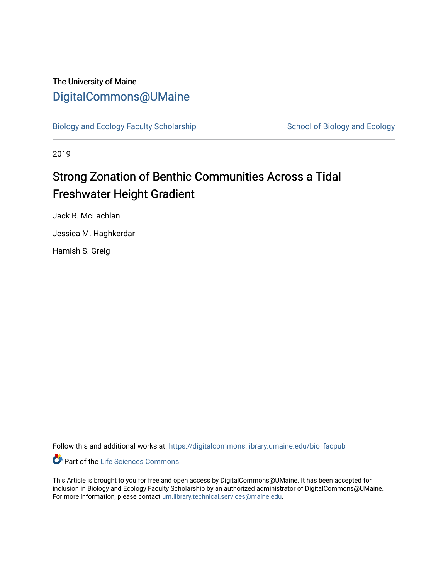# The University of Maine [DigitalCommons@UMaine](https://digitalcommons.library.umaine.edu/)

[Biology and Ecology Faculty Scholarship](https://digitalcommons.library.umaine.edu/bio_facpub) [School of Biology and Ecology](https://digitalcommons.library.umaine.edu/bio) and Ecology

2019

# Strong Zonation of Benthic Communities Across a Tidal Freshwater Height Gradient

Jack R. McLachlan

Jessica M. Haghkerdar

Hamish S. Greig

Follow this and additional works at: [https://digitalcommons.library.umaine.edu/bio\\_facpub](https://digitalcommons.library.umaine.edu/bio_facpub?utm_source=digitalcommons.library.umaine.edu%2Fbio_facpub%2F6&utm_medium=PDF&utm_campaign=PDFCoverPages) 

Part of the [Life Sciences Commons](http://network.bepress.com/hgg/discipline/1016?utm_source=digitalcommons.library.umaine.edu%2Fbio_facpub%2F6&utm_medium=PDF&utm_campaign=PDFCoverPages) 

This Article is brought to you for free and open access by DigitalCommons@UMaine. It has been accepted for inclusion in Biology and Ecology Faculty Scholarship by an authorized administrator of DigitalCommons@UMaine. For more information, please contact [um.library.technical.services@maine.edu](mailto:um.library.technical.services@maine.edu).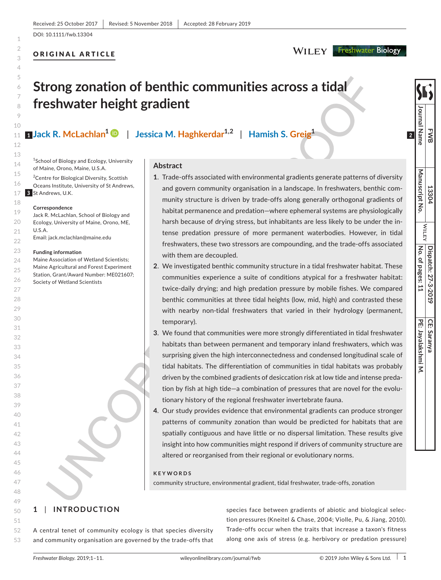## ORIGINAL ARTICLE

**FWB**

**Journal Name**

Journal Name

**13304**

**WILEY** 

**Manuscript No.**

Manuscript No

**Dispatch: 27-3-2019**

**No. of pages: 11**

 $|$  No. of pages:  $11$ Dispatch: 27-3-2019

**CE: Saranya**

**PE: Jayalakshmi M.**

 $\overline{z}$ 

PE: Jayalakshmi **CE: Saranya** 

# **Strong zonation of benthic communities across a tidal freshwater height gradient**

**Jack R. McLachlan1** | **Jessica M. Haghkerdar1,2** | **Hamish S. Greig1 1 2**

<sup>1</sup> School of Biology and Ecology, University of Maine, Orono, Maine, U.S.A.

17 St Andrews, U.K. **3**<sup>2</sup> Centre for Biological Diversity, Scottish Oceans Institute, University of St Andrews,

**Correspondence**

- Jack R. McLachlan, School of Biology and
- Ecology, University of Maine, Orono, ME, U.S.A.

Email: [jack.mclachlan@maine.edu](mailto:jack.mclachlan@maine.edu)

#### **Funding information**

Maine Association of Wetland Scientists; Maine Agricultural and Forest Experiment Station, Grant/Award Number: ME021607; Society of Wetland Scientists

#### **Abstract**

- **1**. Trade-offs associated with environmental gradients generate patterns of diversity and govern community organisation in a landscape. In freshwaters, benthic community structure is driven by trade-offs along generally orthogonal gradients of habitat permanence and predation—where ephemeral systems are physiologically harsh because of drying stress, but inhabitants are less likely to be under the intense predation pressure of more permanent waterbodies. However, in tidal freshwaters, these two stressors are compounding, and the trade-offs associated with them are decoupled.
- **2**. We investigated benthic community structure in a tidal freshwater habitat. These communities experience a suite of conditions atypical for a freshwater habitat: twice-daily drying; and high predation pressure by mobile fishes. We compared benthic communities at three tidal heights (low, mid, high) and contrasted these with nearby non-tidal freshwaters that varied in their hydrology (permanent, temporary).
- **3**. We found that communities were more strongly differentiated in tidal freshwater habitats than between permanent and temporary inland freshwaters, which was surprising given the high interconnectedness and condensed longitudinal scale of tidal habitats. The differentiation of communities in tidal habitats was probably driven by the combined gradients of desiccation risk at low tide and intense predation by fish at high tide—a combination of pressures that are novel for the evolutionary history of the regional freshwater invertebrate fauna.
- **4**. Our study provides evidence that environmental gradients can produce stronger patterns of community zonation than would be predicted for habitats that are spatially contiguous and have little or no dispersal limitation. These results give insight into how communities might respond if drivers of community structure are altered or reorganised from their regional or evolutionary norms.

#### **KEYWORDS**

community structure, environmental gradient, tidal freshwater, trade-offs, zonation

## **1** | **INTRODUCTION**

52 53 A central tenet of community ecology is that species diversity and community organisation are governed by the trade-offs that species face between gradients of abiotic and biological selection pressures (Kneitel & Chase, 2004; Violle, Pu, & Jiang, 2010). Trade-offs occur when the traits that increase a taxon's fitness along one axis of stress (e.g. herbivory or predation pressure)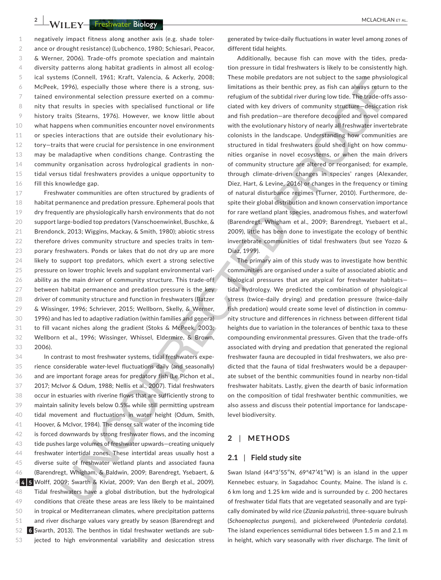**2 WILEY** Freshwater Biology **Reserves and the COVID-ACT** MCLACHLAN ET AL.

1  $\mathfrak{O}$ 3 4 5 6 7 8 9 10 11 12 13 14 15 16 negatively impact fitness along another axis (e.g. shade tolerance or drought resistance) (Lubchenco, 1980; Schiesari, Peacor, & Werner, 2006). Trade-offs promote speciation and maintain diversity patterns along habitat gradients in almost all ecological systems (Connell, 1961; Kraft, Valencia, & Ackerly, 2008; McPeek, 1996), especially those where there is a strong, sustained environmental selection pressure exerted on a community that results in species with specialised functional or life history traits (Stearns, 1976). However, we know little about what happens when communities encounter novel environments or species interactions that are outside their evolutionary history—traits that were crucial for persistence in one environment may be maladaptive when conditions change. Contrasting the community organisation across hydrological gradients in nontidal versus tidal freshwaters provides a unique opportunity to fill this knowledge gap.

17 18 19 20 21 22 23 24 25 26 27 28 29 30 31 32 33 Freshwater communities are often structured by gradients of habitat permanence and predation pressure. Ephemeral pools that dry frequently are physiologically harsh environments that do not support large-bodied top predators (Vanschoenwinkel, Buschke, & Brendonck, 2013; Wiggins, Mackay, & Smith, 1980); abiotic stress therefore drives community structure and species traits in temporary freshwaters. Ponds or lakes that do not dry up are more likely to support top predators, which exert a strong selective pressure on lower trophic levels and supplant environmental variability as the main driver of community structure. This trade-off between habitat permanence and predation pressure is the key driver of community structure and function in freshwaters (Batzer & Wissinger, 1996; Schriever, 2015; Wellborn, Skelly, & Werner, 1996) and has led to adaptive radiation (within families and genera) to fill vacant niches along the gradient (Stoks & McPeek, 2003; Wellborn et al., 1996; Wissinger, Whissel, Eldermire, & Brown, 2006).

34 35 36 37 38 39 40 41 42 43 44 45 46 47 Wolff, 2009; Swarth & Kiviat, 2009; Van den Bergh et al.*,* 2009). **4 5** 48 49 50 51 52 53 In contrast to most freshwater systems, tidal freshwaters experience considerable water-level fluctuations daily (and seasonally) and are important forage areas for predatory fish (Le Pichon et al., 2017; McIvor & Odum, 1988; Nellis et al., 2007). Tidal freshwaters occur in estuaries with riverine flows that are sufficiently strong to maintain salinity levels below 0.5‰ while still permitting upstream tidal movement and fluctuations in water height (Odum, Smith, Hoover, & McIvor, 1984). The denser salt water of the incoming tide is forced downwards by strong freshwater flows, and the incoming tide pushes large volumes of freshwater upwards—creating uniquely freshwater intertidal zones. These intertidal areas usually host a diverse suite of freshwater wetland plants and associated fauna (Barendregt, Whigham, & Baldwin, 2009; Barendregt, Ysebaert, & Tidal freshwaters have a global distribution, but the hydrological conditions that create these areas are less likely to be maintained in tropical or Mediterranean climates, where precipitation patterns and river discharge values vary greatly by season (Barendregt and Swarth, 2013). The benthos in tidal freshwater wetlands are sub-**6**jected to high environmental variability and desiccation stress

generated by twice-daily fluctuations in water level among zones of different tidal heights.

Additionally, because fish can move with the tides, predation pressure in tidal freshwaters is likely to be consistently high. These mobile predators are not subject to the same physiological limitations as their benthic prey, as fish can always return to the refugium of the subtidal river during low tide. The trade-offs associated with key drivers of community structure—desiccation risk and fish predation—are therefore decoupled and novel compared with the evolutionary history of nearly all freshwater invertebrate colonists in the landscape. Understanding how communities are structured in tidal freshwaters could shed light on how communities organise in novel ecosystems, or when the main drivers of community structure are altered or reorganised; for example, through climate-driven changes in species' ranges (Alexander, Diez, Hart, & Levine, 2016) or changes in the frequency or timing of natural disturbance regimes (Turner, 2010). Furthermore, despite their global distribution and known conservation importance for rare wetland plant species, anadromous fishes, and waterfowl (Barendregt, Whigham et al., 2009; Barendregt, Ysebaert et al., 2009), little has been done to investigate the ecology of benthic invertebrate communities of tidal freshwaters (but see Yozzo & Diaz, 1999).

The primary aim of this study was to investigate how benthic communities are organised under a suite of associated abiotic and biological pressures that are atypical for freshwater habitats tidal hydrology. We predicted the combination of physiological stress (twice-daily drying) and predation pressure (twice-daily fish predation) would create some level of distinction in community structure and differences in richness between different tidal heights due to variation in the tolerances of benthic taxa to these compounding environmental pressures. Given that the trade-offs associated with drying and predation that generated the regional freshwater fauna are decoupled in tidal freshwaters, we also predicted that the fauna of tidal freshwaters would be a depauperate subset of the benthic communities found in nearby non-tidal freshwater habitats. Lastly, given the dearth of basic information on the composition of tidal freshwater benthic communities, we also assess and discuss their potential importance for landscapelevel biodiversity.

#### **2** | **METHODS**

#### **2.1** | **Field study site**

Swan Island (44°3′55″N, 69°47′41″W) is an island in the upper Kennebec estuary, in Sagadahoc County, Maine. The island is *c.* 6 km long and 1.25 km wide and is surrounded by *c.* 200 hectares of freshwater tidal flats that are vegetated seasonally and are typically dominated by wild rice (*Zizania palustris*), three-square bulrush (*Schoenoplectus pungens*), and pickerelweed (*Pontederia cordata*). The island experiences semidiurnal tides between 1.5 m and 2.1 m in height, which vary seasonally with river discharge. The limit of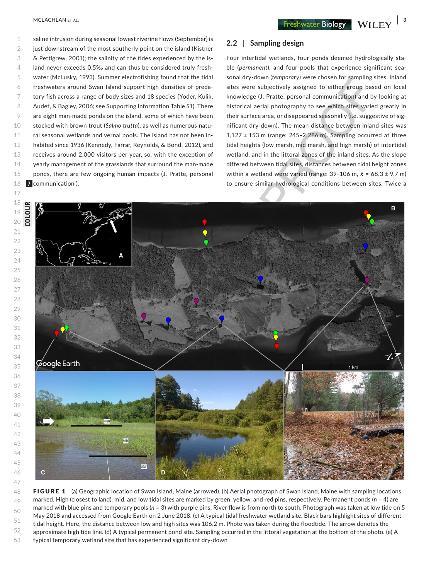1 2 3 4 5 6 7 8 9 10 11 12 13 14 15 16 saline intrusion during seasonal lowest riverine flows (September) is just downstream of the most southerly point on the island (Kistner & Pettigrew, 2001); the salinity of the tides experienced by the island never exceeds 0.5‰ and can thus be considered truly freshwater (McLusky, 1993). Summer electrofishing found that the tidal freshwaters around Swan Island support high densities of predatory fish across a range of body sizes and 18 species (Yoder, Kulik, Audet, & Bagley, 2006; see Supporting Information Table S1). There are eight man-made ponds on the island, some of which have been stocked with brown trout (*Salmo trutta*), as well as numerous natural seasonal wetlands and vernal pools. The island has not been inhabited since 1936 (Kennedy, Farrar, Reynolds, & Bond, 2012), and receives around 2,000 visitors per year, so, with the exception of yearly management of the grasslands that surround the man-made ponds, there are few ongoing human impacts (J. Pratte, personal communication ). **7**

### **2.2** | **Sampling design**

Four intertidal wetlands, four ponds deemed hydrologically stable (*permanent*), and four pools that experience significant seasonal dry-down (*temporary*) were chosen for sampling sites. Inland sites were subjectively assigned to either group based on local knowledge (J. Pratte, personal communication) and by looking at historical aerial photography to see which sites varied greatly in their surface area, or disappeared seasonally (i.e. suggestive of significant dry-down). The mean distance between inland sites was  $1,127 \pm 153$  m (range: 245-2,286 m). Sampling occurred at three tidal heights (low marsh, mid marsh, and high marsh) of intertidal wetland, and in the littoral zones of the inland sites. As the slope differed between tidal sites, distances between tidal height zones within a wetland were varied (range: 39–106 m, *x̄* = 68.3 ± 9.7 m) to ensure similar hydrological conditions between sites. Twice a



48 49 50 51 52 53 FIGURE 1 (a) Geographic location of Swan Island, Maine (arrowed). (b) Aerial photograph of Swan Island, Maine with sampling locations marked. High (closest to land), mid, and low tidal sites are marked by green, yellow, and red pins, respectively. Permanent ponds (*n* = 4) are marked with blue pins and temporary pools (*n* = 3) with purple pins. River flow is from north to south. Photograph was taken at low tide on 5 May 2018 and accessed from Google Earth on 2 June 2018. (c) A typical tidal freshwater wetland site. Black bars highlight sites of different tidal height. Here, the distance between low and high sites was 106.2 m. Photo was taken during the floodtide. The arrow denotes the approximate high tide line. (d) A typical permanent pond site. Sampling occurred in the littoral vegetation at the bottom of the photo. (e) A typical temporary wetland site that has experienced significant dry-down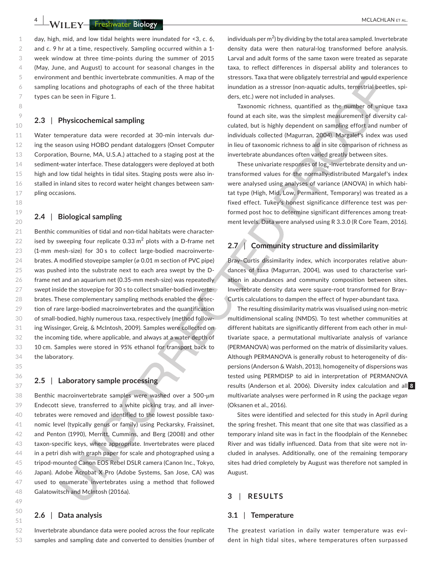**4 |**  MCLACHLAN et al.

day, high, mid, and low tidal heights were inundated for <3, *c.* 6, and *c.* 9 hr at a time, respectively. Sampling occurred within a 1 week window at three time-points during the summer of 2015 (May, June, and August) to account for seasonal changes in the environment and benthic invertebrate communities. A map of the sampling locations and photographs of each of the three habitat types can be seen in Figure 1.

#### **2.3** | **Physicochemical sampling**

Water temperature data were recorded at 30-min intervals during the season using HOBO pendant dataloggers (Onset Computer Corporation, Bourne, MA, U.S.A.) attached to a staging post at the sediment-water interface. These dataloggers were deployed at both high and low tidal heights in tidal sites. Staging posts were also installed in inland sites to record water height changes between sampling occasions.

#### **2.4** | **Biological sampling**

21 22 23 24 25 26 27 28 29 30 31 32 33 34 Benthic communities of tidal and non-tidal habitats were characterised by sweeping four replicate 0.33  $m^2$  plots with a D-frame net (1-mm mesh-size) for 30 s to collect large-bodied macroinvertebrates. A modified stovepipe sampler (ø 0.01 m section of PVC pipe) was pushed into the substrate next to each area swept by the Dframe net and an aquarium net (0.35-mm mesh-size) was repeatedly swept inside the stovepipe for 30 s to collect smaller-bodied invertebrates. These complementary sampling methods enabled the detection of rare large-bodied macroinvertebrates and the quantification of small-bodied, highly numerous taxa, respectively (method following Wissinger, Greig, & McIntosh, 2009). Samples were collected on the incoming tide, where applicable, and always at a water depth of 10 cm. Samples were stored in 95% ethanol for transport back to the laboratory.

#### **2.5** | **Laboratory sample processing**

Benthic macroinvertebrate samples were washed over a 500-μm Endecott sieve, transferred to a white picking tray, and all invertebrates were removed and identified to the lowest possible taxonomic level (typically genus or family) using Peckarsky, Fraissinet, and Penton (1990), Merritt, Cummins, and Berg (2008) and other taxon-specific keys, where appropriate. Invertebrates were placed in a petri dish with graph paper for scale and photographed using a tripod-mounted Canon EOS Rebel DSLR camera (Canon Inc., Tokyo, Japan). Adobe Acrobat X Pro (Adobe Systems, San Jose, CA) was used to enumerate invertebrates using a method that followed Galatowitsch and McIntosh (2016a).

#### **2.6** | **Data analysis**

52 53 Invertebrate abundance data were pooled across the four replicate samples and sampling date and converted to densities (number of individuals per  $m^2$ ) by dividing by the total area sampled. Invertebrate density data were then natural-log transformed before analysis. Larval and adult forms of the same taxon were treated as separate taxa, to reflect differences in dispersal ability and tolerances to stressors. Taxa that were obligately terrestrial and would experience inundation as a stressor (non-aquatic adults, terrestrial beetles, spiders, etc.) were not included in analyses.

Taxonomic richness, quantified as the number of unique taxa found at each site, was the simplest measurement of diversity calculated, but is highly dependent on sampling effort and number of individuals collected (Magurran, 2004). Margalef's index was used in lieu of taxonomic richness to aid in site comparison of richness as invertebrate abundances often varied greatly between sites.

These univariate responses of log-invertebrate density and untransformed values for the normally-distributed Margalef's index were analysed using analyses of variance (ANOVA) in which habitat type (High, Mid, Low, Permanent, Temporary) was treated as a fixed effect. Tukey's honest significance difference test was performed post hoc to determine significant differences among treatment levels. Data were analysed using R 3.3.0 (R Core Team, 2016).

### **2.7** | **Community structure and dissimilarity**

Bray–Curtis dissimilarity index, which incorporates relative abundances of taxa (Magurran, 2004), was used to characterise variation in abundances and community composition between sites. Invertebrate density data were square-root transformed for Bray– Curtis calculations to dampen the effect of hyper-abundant taxa.

The resulting dissimilarity matrix was visualised using non-metric multidimensional scaling (NMDS). To test whether communities at different habitats are significantly different from each other in multivariate space, a permutational multivariate analysis of variance (PERMANOVA) was performed on the matrix of dissimilarity values. Although PERMANOVA is generally robust to heterogeneity of dispersions (Anderson & Walsh, 2013), homogeneity of dispersions was tested using PERMDISP to aid in interpretation of PERMANOVA results (Anderson et al. 2006). Diversity index calculation and all **8**multivariate analyses were performed in R using the package *vegan* (Oksanen et al., 2016).

Sites were identified and selected for this study in April during the spring freshet. This meant that one site that was classified as a temporary inland site was in fact in the floodplain of the Kennebec River and was tidally influenced. Data from that site were not included in analyses. Additionally, one of the remaining temporary sites had dried completely by August was therefore not sampled in August.

#### **3** | **RESULTS**

#### **3.1** | **Temperature**

The greatest variation in daily water temperature was evident in high tidal sites, where temperatures often surpassed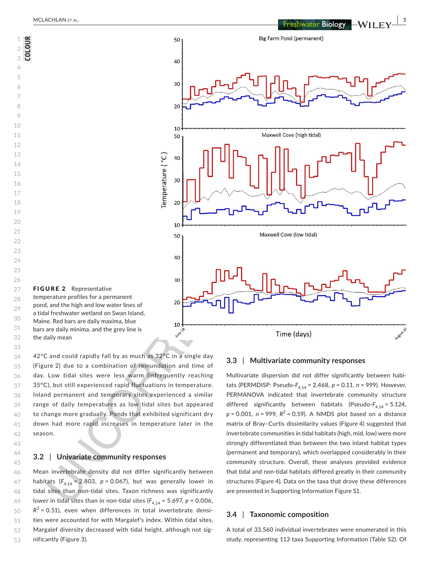**COLOUR**



34 35 36 37 38 39 40 41 42 42°C and could rapidly fall by as much as 32°C in a single day (Figure 2) due to a combination of reinundation and time of day. Low tidal sites were less warm (infrequently reaching 35°C), but still experienced rapid fluctuations in temperature. Inland permanent and temporary sites experienced a similar range of daily temperatures as low tidal sites but appeared to change more gradually. Ponds that exhibited significant dry down had more rapid increases in temperature later in the season.

#### **3.2** | **Univariate community responses**

43 44 45

46 47 48 49 50 51 52 53 Mean invertebrate density did not differ significantly between habitats  $(F_{4,14} = 2.803, p = 0.067)$ , but was generally lower in tidal sites than non-tidal sites. Taxon richness was significantly lower in tidal sites than in non-tidal sites  $(F_{4,14} = 5.697, p = 0.006,$  $R^2$  = 0.51), even when differences in total invertebrate densities were accounted for with Margalef's index. Within tidal sites, Margalef diversity decreased with tidal height, although not significantly (Figure 3).

#### **3.3** | **Multivariate community responses**

Multivariate dispersion did not differ significantly between habitats (PERMDISP: Pseudo-*F*4,14 = 2.468, *p* = 0.11, *n* = 999). However, PERMANOVA indicated that invertebrate community structure differed significantly between habitats (Pseudo-F<sub>4,14</sub> = 5.124,  $p = 0.001$ ,  $n = 999$ ,  $R^2 = 0.59$ ). A NMDS plot based on a distance matrix of Bray–Curtis dissimilarity values (Figure 4) suggested that invertebrate communities in tidal habitats (high, mid, low) were more strongly differentiated than between the two inland habitat types (permanent and temporary), which overlapped considerably in their community structure. Overall, these analyses provided evidence that tidal and non-tidal habitats differed greatly in their community structures (Figure 4). Data on the taxa that drove these differences are presented in Supporting Information Figure S1.

#### **3.4** | **Taxonomic composition**

A total of 33,560 individual invertebrates were enumerated in this study, representing 113 taxa Supporting Information (Table S2). Of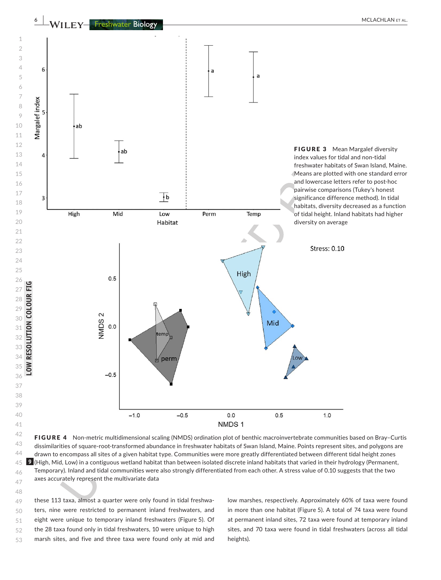

  $\Delta\Delta$  FIGURE 4 Non-metric multidimensional scaling (NMDS) ordination plot of benthic macroinvertebrate communities based on Bray–Curtis dissimilarities of square-root-transformed abundance in freshwater habitats of Swan Island, Maine. Points represent sites, and polygons are drawn to encompass all sites of a given habitat type. Communities were more greatly differentiated between different tidal height zones (High, Mid, Low) in a contiguous wetland habitat than between isolated discrete inland habitats that varied in their hydrology (Permanent, Temporary). Inland and tidal communities were also strongly differentiated from each other. A stress value of 0.10 suggests that the two axes accurately represent the multivariate data

 these 113 taxa, almost a quarter were only found in tidal freshwaters, nine were restricted to permanent inland freshwaters, and eight were unique to temporary inland freshwaters (Figure 5). Of the 28 taxa found only in tidal freshwaters, 10 were unique to high marsh sites, and five and three taxa were found only at mid and

low marshes, respectively. Approximately 60% of taxa were found in more than one habitat (Figure 5). A total of 74 taxa were found at permanent inland sites, 72 taxa were found at temporary inland sites, and 70 taxa were found in tidal freshwaters (across all tidal heights).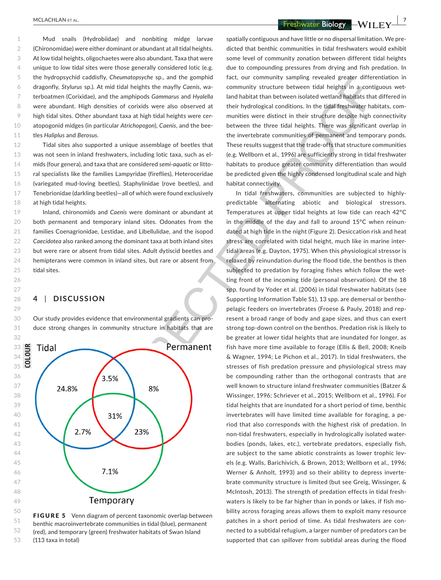**<u>MCLACHLAN ET AL.</u>** *MCLACHLAN ET AL. PHONE I* 

1  $\mathfrak{O}$ 3 4 5 6 7 8 9 10 11 Mud snails (Hydrobiidae) and nonbiting midge larvae (Chironomidae) were either dominant or abundant at all tidal heights. At low tidal heights, oligochaetes were also abundant. Taxa that were unique to low tidal sites were those generally considered lotic (e.g. the hydropsychid caddisfly, *Cheumatopsyche* sp., and the gomphid dragonfly, *Stylurus* sp.). At mid tidal heights the mayfly *Caenis*, waterboatmen (Corixidae), and the amphipods *Gammarus* and *Hyalella* were abundant. High densities of corixids were also observed at high tidal sites. Other abundant taxa at high tidal heights were ceratopogonid midges (in particular *Atrichopogon*), *Caenis*, and the beetles *Haliplus* and *Berosus.*

12 13 14 15 16 17 18 Tidal sites also supported a unique assemblage of beetles that was not seen in inland freshwaters, including lotic taxa, such as elmids (four genera), and taxa that are considered *semi-aquatic* or littoral specialists like the families Lampyridae (fireflies), Heteroceridae (variegated mud-loving beetles), Staphylinidae (rove beetles), and Tenebrionidae (darkling beetles)—all of which were found exclusively at high tidal heights.

Inland, chironomids and *Caenis* were dominant or abundant at both permanent and temporary inland sites. Odonates from the families Coenagrionidae, Lestidae, and Libellulidae, and the isopod *Caecidotea* also ranked among the dominant taxa at both inland sites but were rare or absent from tidal sites. Adult dytiscid beetles and hemipterans were common in inland sites, but rare or absent from tidal sites.

#### **4** | **DISCUSSION**

Our study provides evidence that environmental gradients can produce strong changes in community structure in habitats that are





spatially contiguous and have little or no dispersal limitation. We predicted that benthic communities in tidal freshwaters would exhibit some level of community zonation between different tidal heights due to compounding pressures from drying and fish predation. In fact, our community sampling revealed greater differentiation in community structure between tidal heights in a contiguous wetland habitat than between isolated wetland habitats that differed in their hydrological conditions. In the tidal freshwater habitats, communities were distinct in their structure despite high connectivity between the three tidal heights. There was significant overlap in the invertebrate communities of permanent and temporary ponds. These results suggest that the trade-offs that structure communities (e.g. Wellborn et al., 1996) are sufficiently strong in tidal freshwater habitats to produce greater community differentiation than would be predicted given the highly condensed longitudinal scale and high habitat connectivity.

In tidal freshwaters, communities are subjected to highlypredictable alternating abiotic and biological stressors. Temperatures at upper tidal heights at low tide can reach 42°C in the middle of the day and fall to around 15°C when reinundated at high tide in the night (Figure 2). Desiccation risk and heat stress are correlated with tidal height, much like in marine intertidal areas (e.g. Dayton, 1975). When this physiological stressor is relaxed by reinundation during the flood tide, the benthos is then subjected to predation by foraging fishes which follow the wetting front of the incoming tide (personal observation). Of the 18 spp. found by Yoder et al. (2006) in tidal freshwater habitats (see Supporting Information Table S1), 13 spp. are demersal or benthopelagic feeders on invertebrates (Froese & Pauly, 2018) and represent a broad range of body and gape sizes, and thus can exert strong top-down control on the benthos. Predation risk is likely to be greater at lower tidal heights that are inundated for longer, as fish have more time available to forage (Ellis & Bell, 2008; Kneib & Wagner, 1994; Le Pichon et al., 2017). In tidal freshwaters, the stresses of fish predation pressure and physiological stress may be compounding rather than the orthogonal contrasts that are well known to structure inland freshwater communities (Batzer & Wissinger, 1996; Schriever et al., 2015; Wellborn et al., 1996). For tidal heights that are inundated for a short period of time, benthic invertebrates will have limited time available for foraging, a period that also corresponds with the highest risk of predation. In non-tidal freshwaters, especially in hydrologically isolated waterbodies (ponds, lakes, etc.), vertebrate predators, especially fish, are subject to the same abiotic constraints as lower trophic levels (e.g. Walls, Barichivich, & Brown, 2013; Wellborn et al., 1996; Werner & Anholt, 1993) and so their ability to depress invertebrate community structure is limited (but see Greig, Wissinger, & McIntosh, 2013). The strength of predation effects in tidal freshwaters is likely to be far higher than in ponds or lakes, if fish mobility across foraging areas allows them to exploit many resource patches in a short period of time. As tidal freshwaters are connected to a subtidal refugium, a larger number of predators can be supported that can *spillover* from subtidal areas during the flood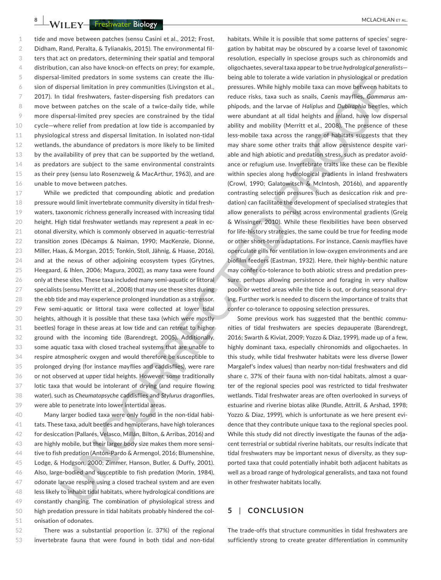**8 |**  MCLACHLAN et al.

1  $\mathfrak{O}$ 3 4 5 6 7 8 9 10 11 12 13 14 15 16 tide and move between patches (sensu Casini et al., 2012; Frost, Didham, Rand, Peralta, & Tylianakis, 2015). The environmental filters that act on predators, determining their spatial and temporal distribution, can also have knock-on effects on prey; for example, dispersal-limited predators in some systems can create the illusion of dispersal limitation in prey communities (Livingston et al., 2017). In tidal freshwaters, faster-dispersing fish predators can move between patches on the scale of a twice-daily tide, while more dispersal-limited prey species are constrained by the tidal cycle—where relief from predation at low tide is accompanied by physiological stress and dispersal limitation. In isolated non-tidal wetlands, the abundance of predators is more likely to be limited by the availability of prey that can be supported by the wetland, as predators are subject to the same environmental constraints as their prey (sensu lato Rosenzweig & MacArthur, 1963), and are unable to move between patches.

17 18 19 20 21 22 23 24 25 26 27 28 29 30 31 32 33 34 35 36 37 38 39 While we predicted that compounding abiotic and predation pressure would limit invertebrate community diversity in tidal freshwaters, taxonomic richness generally increased with increasing tidal height. High tidal freshwater wetlands may represent a *peak* in ecotonal diversity, which is commonly observed in aquatic–terrestrial transition zones (Décamps & Naiman, 1990; MacKenzie, Dionne, Miller, Haas, & Morgan, 2015; Tonkin, Stoll, Jähnig, & Haase, 2016), and at the nexus of other adjoining ecosystem types (Grytnes, Heegaard, & Ihlen, 2006; Magura, 2002), as many taxa were found only at these sites. These taxa included many semi-aquatic or littoral specialists (sensu Merritt et al., 2008) that may use these sites during the ebb tide and may experience prolonged inundation as a stressor. Few semi-aquatic or littoral taxa were collected at lower tidal heights, although it is possible that these taxa (which were mostly beetles) forage in these areas at low tide and can retreat to higher ground with the incoming tide (Barendregt, 2005). Additionally, some aquatic taxa with closed tracheal systems that are unable to respire atmospheric oxygen and would therefore be susceptible to prolonged drying (for instance mayflies and caddisflies), were rare or not observed at upper tidal heights. However, some traditionally lotic taxa that would be intolerant of drying (and require flowing water), such as *Cheumatopsyche* caddisflies and *Stylurus* dragonflies, were able to penetrate into lower intertidal areas.

40 41 42 43 44 45 46 47 48 49 50 51 Many larger bodied taxa were only found in the non-tidal habitats. These taxa, adult beetles and hemipterans, have high tolerances for desiccation (Pallarés, Velasco, Millán, Bilton, & Arribas, 2016) and are highly mobile, but their larger body size makes them more sensitive to fish predation (Antón-Pardo & Armengol, 2016; Blumenshine, Lodge, & Hodgson, 2000; Zimmer, Hanson, Butler, & Duffy, 2001). Also, large-bodied and susceptible to fish predation (Morin, 1984), odonate larvae respire using a closed tracheal system and are even less likely to inhabit tidal habitats, where hydrological conditions are constantly changing. The combination of physiological stress and high predation pressure in tidal habitats probably hindered the colonisation of odonates.

52 53 There was a substantial proportion (*c.* 37%) of the regional invertebrate fauna that were found in both tidal and non-tidal

habitats. While it is possible that some patterns of species' segregation by habitat may be obscured by a coarse level of taxonomic resolution, especially in speciose groups such as chironomids and oligochaetes, several taxa appear to be true *hydrological generalists* being able to tolerate a wide variation in physiological or predation pressures. While highly mobile taxa can move between habitats to reduce risks, taxa such as snails, *Caenis* mayflies, *Gammarus* amphipods, and the larvae of *Haliplus* and *Dubiraphia* beetles, which were abundant at all tidal heights and inland, have low dispersal ability and mobility (Merritt et al., 2008). The presence of these less-mobile taxa across the range of habitats suggests that they may share some other traits that allow persistence despite variable and high abiotic and predation stress, such as predator avoidance or refugium use. Invertebrate traits like these can be flexible within species along hydrological gradients in inland freshwaters (Crowl, 1990; Galatowitsch & McIntosh, 2016b), and apparently contrasting selection pressures (such as desiccation risk and predation) can facilitate the development of specialised strategies that allow generalists to persist across environmental gradients (Greig & Wissinger, 2010). While these flexibilities have been observed for life-history strategies, the same could be true for feeding mode or other short-term adaptations. For instance, *Caenis* mayflies have operculate gills for ventilation in low-oxygen environments and are biofilm feeders (Eastman, 1932). Here, their highly-benthic nature may confer co-tolerance to both abiotic stress and predation pressure, perhaps allowing persistence and foraging in very shallow pools or wetted areas while the tide is out, or during seasonal drying. Further work is needed to discern the importance of traits that confer co-tolerance to opposing selection pressures.

Some previous work has suggested that the benthic communities of tidal freshwaters are species depauperate (Barendregt, 2016; Swarth & Kiviat, 2009; Yozzo & Diaz, 1999), made up of a few, highly dominant taxa, especially chironomids and oligochaetes. In this study, while tidal freshwater habitats were less diverse (lower Margalef's index values) than nearby non-tidal freshwaters and did share *c.* 37% of their fauna with non-tidal habitats, almost a quarter of the regional species pool was restricted to tidal freshwater wetlands. Tidal freshwater areas are often overlooked in surveys of estuarine and riverine biotas alike (Rundle, Attrill, & Arshad, 1998; Yozzo & Diaz, 1999), which is unfortunate as we here present evidence that they contribute unique taxa to the regional species pool. While this study did not directly investigate the faunas of the adjacent terrestrial or subtidal riverine habitats, our results indicate that tidal freshwaters may be important nexus of diversity, as they supported taxa that could potentially inhabit both adjacent habitats as well as a broad range of hydrological generalists, and taxa not found in other freshwater habitats locally.

#### **5** | **CONCLUSION**

The trade-offs that structure communities in tidal freshwaters are sufficiently strong to create greater differentiation in community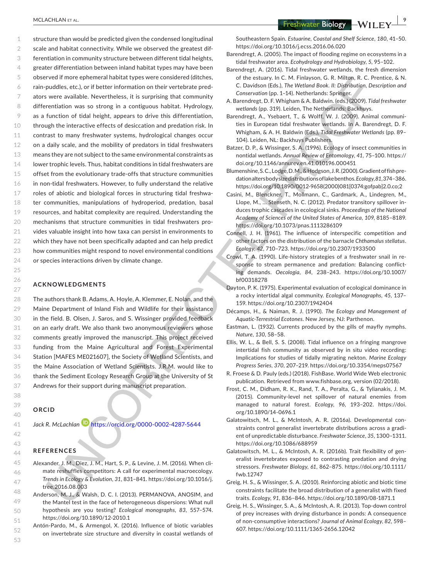1  $\mathfrak{O}$ 3 4 5 6 7 8 9 10 11 12 13 14 15 16 17 18 19 20 21 22 23 24 structure than would be predicted given the condensed longitudinal scale and habitat connectivity. While we observed the greatest differentiation in community structure between different tidal heights, greater differentiation between inland habitat types may have been observed if more ephemeral habitat types were considered (ditches, rain-puddles, etc.), or if better information on their vertebrate predators were available. Nevertheless, it is surprising that community differentiation was so strong in a contiguous habitat. Hydrology, as a function of tidal height, appears to drive this differentiation, through the interactive effects of desiccation and predation risk. In contrast to many freshwater systems, hydrological changes occur on a daily scale, and the mobility of predators in tidal freshwaters means they are not subject to the same environmental constraints as lower trophic levels. Thus, habitat conditions in tidal freshwaters are offset from the evolutionary trade-offs that structure communities in non-tidal freshwaters. However, to fully understand the relative roles of abiotic and biological forces in structuring tidal freshwater communities, manipulations of hydroperiod, predation, basal resources, and habitat complexity are required. Understanding the mechanisms that structure communities in tidal freshwaters provides valuable insight into how taxa can persist in environments to which they have not been specifically adapted and can help predict how communities might respond to novel environmental conditions or species interactions driven by climate change.

#### **ACKNOWLEDGMENTS**

The authors thank B. Adams, A. Hoyle, A. Klemmer, E. Nolan, and the Maine Department of Inland Fish and Wildlife for their assistance in the field. B. Olsen, J. Saros, and S. Wissinger provided feedback on an early draft. We also thank two anonymous reviewers whose comments greatly improved the manuscript. This project received funding from the Maine Agricultural and Forest Experimental Station [MAFES ME021607], the Society of Wetland Scientists, and the Maine Association of Wetland Scientists. J.R.M. would like to thank the Sediment Ecology Research Group at the University of St Andrews for their support during manuscript preparation.

#### **ORCID**

52 53

Jack R. McLachlan<sup>1</sup> <https://orcid.org/0000-0002-4287-5644>

#### **REFERENCES**

- Alexander, J. M., Diez, J. M., Hart, S. P., & Levine, J. M. (2016). When climate reshuffles competitors: A call for experimental macroecology. *Trends in Ecology & Evolution*, *31*, 831–841. [https://doi.org/10.1016/j.](https://doi.org/10.1016/j.tree.2016.08.003) [tree.2016.08.003](https://doi.org/10.1016/j.tree.2016.08.003)
- 48 49 50 51 Anderson, M. J., & Walsh, D. C. I. (2013). PERMANOVA, ANOSIM, and the Mantel test in the face of heterogeneous dispersions: What null hypothesis are you testing? *Ecological monographs*, *83*, 557–574. <https://doi.org/10.1890/12-2010.1>
	- Antón-Pardo, M., & Armengol, X. (2016). Influence of biotic variables on invertebrate size structure and diversity in coastal wetlands of

 **<u>MCLACHLAN ET AL.</u> 99 ACLACHLAN ET AL.** 99

Southeastern Spain. *Estuarine, Coastal and Shelf Science*, *180*, 41–50. <https://doi.org/10.1016/j.ecss.2016.06.020>

- Barendregt, A. (2005). The impact of flooding regime on ecosystems in a tidal freshwater area. *Ecohydrology and Hydrobiology*, *5*, 95–102.
- Barendregt, A. (2016). Tidal freshwater wetlands, the fresh dimension of the estuary. In C. M. Finlayson, G. R. Milton, R. C. Prentice, & N. C. Davidson (Eds.), *The Wetland Book. II: Distribution, Description and Conservation* (pp. 1–14). Netherlands: Springer.
- A. Barendregt, D. F. Whigham & A. Baldwin. (eds.) (2009). *Tidal freshwater wetlands* (pp. 319). Leiden, The Netherlands: Backhuys.
- Barendregt, A., Ysebaert, T., & Wolff, W. J. (2009). Animal communities in European tidal freshwater wetlands. In A. Barendregt, D. F. Whigham, & A. H. Baldwin (Eds.), *Tidal Freshwater Wetlands* (pp. 89– 104). Leiden, NL: Backhuys Publishers.
- Batzer, D. P., & Wissinger, S. A. (1996). Ecology of insect communities in nontidal wetlands. *Annual Review of Entomology*, *41*, 75–100. [https://](https://doi.org/10.1146/annurev.en.41.010196.000451) [doi.org/10.1146/annurev.en.41.010196.000451](https://doi.org/10.1146/annurev.en.41.010196.000451)
- Blumenshine, S. C., Lodge, D. M., & Hodgson, J. R. (2000). Gradient of fish predation alters body size distributions of lake benthos. *Ecology*, *81*,374–386. [https://doi.org/10.1890/0012-9658\(2000\)081\[0374:gofpab\]2.0.co;2](https://doi.org/10.1890/0012-9658(2000)081[0374:gofpab]2.0.co;2)
- Casini, M., Blenckner, T., Mollmann, C., Gardmark, A., Lindegren, M., Llope, M., … Stenseth, N. C. (2012). Predator transitory spillover induces trophic cascades in ecological sinks. *Proceedings of the National Academy of Sciences of the United States of America*, *109*, 8185–8189. <https://doi.org/10.1073/pnas.1113286109>
- Connell, J. H. (1961). The influence of interspecific competition and other factors on the distribution of the barnacle *Chthamalus stellatus*. *Ecology*, *42*, 710–723.<https://doi.org/10.2307/1933500>
- Crowl, T. A. (1990). Life-history strategies of a freshwater snail in response to stream permanence and predation: Balancing conflicting demands. *Oecologia*, *84*, 238–243. [https://doi.org/10.1007/](https://doi.org/10.1007/bf00318278) [bf00318278](https://doi.org/10.1007/bf00318278)
- Dayton, P. K. (1975). Experimental evaluation of ecological dominance in a rocky intertidal algal community. *Ecological Monographs*, *45*, 137– 159. <https://doi.org/10.2307/1942404>
- Décamps, H., & Naiman, R. J. (1990). *The Ecology and Management of Aquatic-Terrestrial Ecotones*. New Jersey, NJ: Parthenon.
- Eastman, L. (1932). Currents produced by the gills of mayfly nymphs. *Nature*, *130*, 58–58.
- Ellis, W. L., & Bell, S. S. (2008). Tidal influence on a fringing mangrove intertidal fish community as observed by in situ video recording: Implications for studies of tidally migrating nekton. *Marine Ecology Progress Series*, *370*, 207–219. <https://doi.org/10.3354/meps07567>
- R. Froese & D. Pauly (eds.) (2018). FishBase. World Wide Web electronic publication. Retrieved from [www.fishbase.org](http://www.fishbase.org), version (02/2018).
- Frost, C. M., Didham, R. K., Rand, T. A., Peralta, G., & Tylianakis, J. M. (2015). Community-level net spillover of natural enemies from managed to natural forest. *Ecology*, *96*, 193–202. [https://doi.](https://doi.org/10.1890/14-0696.1) [org/10.1890/14-0696.1](https://doi.org/10.1890/14-0696.1)
- Galatowitsch, M. L., & McIntosh, A. R. (2016a). Developmental constraints control generalist invertebrate distributions across a gradient of unpredictable disturbance. *Freshwater Science*, *35*, 1300–1311. <https://doi.org/10.1086/688959>
- Galatowitsch, M. L., & McIntosh, A. R. (2016b). Trait flexibility of generalist invertebrates exposed to contrasting predation and drying stressors. *Freshwater Biology*, *61*, 862–875. [https://doi.org/10.1111/](https://doi.org/10.1111/fwb.12747) [fwb.12747](https://doi.org/10.1111/fwb.12747)
- Greig, H. S., & Wissinger, S. A. (2010). Reinforcing abiotic and biotic time constraints facilitate the broad distribution of a generalist with fixed traits. *Ecology*, *91*, 836–846. <https://doi.org/10.1890/08-1871.1>
- Greig, H. S., Wissinger, S. A., & McIntosh, A. R. (2013). Top-down control of prey increases with drying disturbance in ponds: A consequence of non-consumptive interactions? *Journal of Animal Ecology*, *82*, 598– 607. <https://doi.org/10.1111/1365-2656.12042>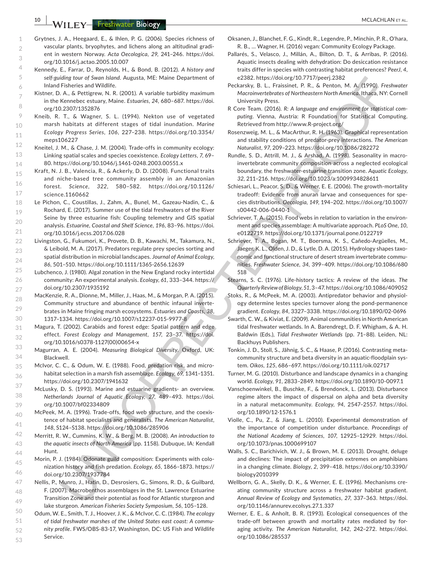**10 WILEY Freshwater Biology Research 20 January 20 January 20 January 20 January 20 January 20 January 20 January 20 January 20 January 20 January 20 January 20 January 20 January 20 January 20 January 20 January 20 Jan** 

- Grytnes, J. A., Heegaard, E., & Ihlen, P. G. (2006). Species richness of vascular plants, bryophytes, and lichens along an altitudinal gradient in western Norway. *Acta Oecologica*, *29*, 241–246. [https://doi.](https://doi.org/10.1016/j.actao.2005.10.007) [org/10.1016/j.actao.2005.10.007](https://doi.org/10.1016/j.actao.2005.10.007)
- Kennedy, E., Farrar, D., Reynolds, H., & Bond, B. (2012). *A history and self-guiding tour of Swan Island*. Augusta, ME: Maine Department of Inland Fisheries and Wildlife.
- Kistner, D. A., & Pettigrew, N. R. (2001). A variable turbidity maximum in the Kennebec estuary, Maine. *Estuaries*, *24*, 680–687. [https://doi.](https://doi.org/10.2307/1352876) [org/10.2307/1352876](https://doi.org/10.2307/1352876)
- Kneib, R. T., & Wagner, S. L. (1994). Nekton use of vegetated marsh habitats at different stages of tidal inundation. *Marine Ecology Progress Series*, *106*, 227–238. [https://doi.org/10.3354/](https://doi.org/10.3354/meps106227) [meps106227](https://doi.org/10.3354/meps106227)
- Kneitel, J. M., & Chase, J. M. (2004). Trade-offs in community ecology: Linking spatial scales and species coexistence. *Ecology Letters*, *7*, 69– 80. <https://doi.org/10.1046/j.1461-0248.2003.00551.x>
- 15 16 17 Kraft, N. J. B., Valencia, R., & Ackerly, D. D. (2008). Functional traits and niche-based tree community assembly in an Amazonian forest. *Science*, *322*, 580–582. [https://doi.org/10.1126/](https://doi.org/10.1126/science.1160662) [science.1160662](https://doi.org/10.1126/science.1160662)
- 18 19 20 21 Le Pichon, C., Coustillas, J., Zahm, A., Bunel, M., Gazeau-Nadin, C., & Rochard, E. (2017). Summer use of the tidal freshwaters of the River Seine by three estuarine fish: Coupling telemetry and GIS spatial analysis. *Estuarine, Coastal and Shelf Science*, *196*, 83–96. [https://doi.](https://doi.org/10.1016/j.ecss.2017.06.028) [org/10.1016/j.ecss.2017.06.028](https://doi.org/10.1016/j.ecss.2017.06.028)
- 22 23 24 Livingston, G., Fukumori, K., Provete, D. B., Kawachi, M., Takamura, N., & Leibold, M. A. (2017). Predators regulate prey species sorting and spatial distribution in microbial landscapes. *Journal of Animal Ecology*, *86*, 501–510. <https://doi.org/10.1111/1365-2656.12639>
- 25 26 27 Lubchenco, J. (1980). Algal zonation in the New England rocky intertidal community: An experimental analysis. *Ecology*, *61*, 333–344. [https://](https://doi.org/10.2307/1935192) [doi.org/10.2307/1935192](https://doi.org/10.2307/1935192)
- 28 29 30 MacKenzie, R. A., Dionne, M., Miller, J., Haas, M., & Morgan, P. A. (2015). Community structure and abundance of benthic infaunal invertebrates in Maine fringing marsh ecosystems. *Estuaries and Coasts*, *38*, 1317–1334. <https://doi.org/10.1007/s12237-015-9977-8>
	- Magura, T. (2002). Carabids and forest edge: Spatial pattern and edge effect. *Forest Ecology and Management*, *157*, 23–37. [https://doi.](https://doi.org/10.1016/s0378-1127(00)00654-x) [org/10.1016/s0378-1127\(00\)00654-x](https://doi.org/10.1016/s0378-1127(00)00654-x)
- 33 34 Magurran, A. E. (2004). *Measuring Biological Diversity*. Oxford, UK: Blackwell.
	- McIvor, C. C., & Odum, W. E. (1988). Food, predation risk, and microhabitat selection in a marsh fish assemblage. *Ecology*, *69*, 1341–1351. <https://doi.org/10.2307/1941632>
	- McLusky, D. S. (1993). Marine and estuarine gradients- an overview. *Netherlands Journal of Aquatic Ecology*, *27*, 489–493. [https://doi.](https://doi.org/10.1007/bf02334809) [org/10.1007/bf02334809](https://doi.org/10.1007/bf02334809)
	- McPeek, M. A. (1996). Trade-offs, food web structure, and the coexistence of habitat specialists and generalists. *The American Naturalist*, *148*, S124–S138. <https://doi.org/10.1086/285906>
- 42 43 44 Merritt, R. W., Cummins, K. W., & Berg, M. B. (2008). *An introduction to the aquatic insects of North America* (pp. 1158). Dubuque, IA: Kendall Hunt.
	- Morin, P. J. (1984). Odonate guild composition: Experiments with colonization history and fish predation. *Ecology*, *65*, 1866–1873. [https://](https://doi.org/10.2307/1937784) [doi.org/10.2307/1937784](https://doi.org/10.2307/1937784)
- 47 48 49 Nellis, P., Munro, J., Hatin, D., Desrosiers, G., Simons, R. D., & Guilbard, F. (2007). Macrobenthos assemblages in the St. Lawrence Estuarine Transition Zone and their potential as food for Atlantic sturgeon and lake sturgeon. *American Fisheries Society Symposium*, *56*, 105–128.
- 50 51 52 53 Odum, W. E., Smith, T. J., Hoover, J. K., & McIvor, C. C. (1984). *The ecology of tidal freshwater marshes of the United States east coast: A community profile*. FWS/OBS-83-17, Washington, DC: US Fish and Wildlife Service.
- Oksanen, J., Blanchet, F. G., Kindt, R., Legendre, P., Minchin, P. R., O'hara, R. B., … Wagner, H. (2016) vegan: Community Ecology Package.
- Pallarés, S., Velasco, J., Millán, A., Bilton, D. T., & Arribas, P. (2016). Aquatic insects dealing with dehydration: Do desiccation resistance traits differ in species with contrasting habitat preferences? *PeerJ*, *4*, e2382. <https://doi.org/10.7717/peerj.2382>
- Peckarsky, B. L., Fraissinet, P. R., & Penton, M. A. (1990). *Freshwater Macroinvertebrates of Northeastern North America*. Ithaca, NY: Cornell University Press.
- R Core Team. (2016). *R: A language and environment for statistical computing*. Vienna, Austria: R Foundation for Statistical Computing. Retrieved from<http://www.R-project.org/>
- Rosenzweig, M. L., & MacArthur, R. H. (1963). Graphical representation and stability conditions of predator-prey interactions. *The American Naturalist*, *97*, 209–223. <https://doi.org/10.1086/282272>
- Rundle, S. D., Attrill, M. J., & Arshad, A. (1998). Seasonality in macroinvertebrate community composition across a neglected ecological boundary, the freshwater-estuarine transition zone. *Aquatic Ecology*, *32*, 211–216. <https://doi.org/10.1023/a:1009934828611>
- Schiesari, L., Peacor, S. D., & Werner, E. E. (2006). The growth-mortality tradeoff: Evidence from anuran larvae and consequences for species distributions. *Oecologia*, *149*, 194–202. [https://doi.org/10.1007/](https://doi.org/10.1007/s00442-006-0440-1) [s00442-006-0440-1](https://doi.org/10.1007/s00442-006-0440-1)
- Schriever, T. A. (2015). Food webs in relation to variation in the environment and species assemblage: A multivariate approach. *PLoS One*, *10*, e0122719.<https://doi.org/10.1371/journal.pone.0122719>
- Schriever, T. A., Bogan, M. T., Boersma, K. S., Cañedo-Argüelles, M., Jaeger, K. L., Olden, J. D., & Lytle, D. A. (2015). Hydrology shapes taxonomic and functional structure of desert stream invertebrate communities. *Freshwater Science*, *34*, 399–409. [https://doi.org/10.1086/680](https://doi.org/10.1086/680518) [518](https://doi.org/10.1086/680518)
- Stearns, S. C. (1976). Life-history tactics: A review of the ideas. *The Quarterly Review of Biology*, *51*,3–47. <https://doi.org/10.1086/409052>
- Stoks, R., & McPeek, M. A. (2003). Antipredator behavior and physiology determine lestes species turnover along the pond-permanence gradient. *Ecology*, *84*, 3327–3338. <https://doi.org/10.1890/02-0696>
- Swarth, C. W., & Kiviat, E. (2009). Animal communities in North American tidal freshwater wetlands. In A. Barendregt, D. F. Whigham, & A. H. Baldwin (Eds.), *Tidal Freshwater Wetlands* (pp. 71–88). Leiden, NL: Backhuys Publishers.
- Tonkin, J. D., Stoll, S., Jähnig, S. C., & Haase, P. (2016). Contrasting metacommunity structure and beta diversity in an aquatic-floodplain system. *Oikos*, *125*, 686–697. <https://doi.org/10.1111/oik.02717>
- Turner, M. G. (2010). Disturbance and landscape dynamics in a changing world. *Ecology*, *91*, 2833–2849. <https://doi.org/10.1890/10-0097.1>
- Vanschoenwinkel, B., Buschke, F., & Brendonck, L. (2013). Disturbance regime alters the impact of dispersal on alpha and beta diversity in a natural metacommunity. *Ecology*, *94*, 2547–2557. [https://doi.](https://doi.org/10.1890/12-1576.1) [org/10.1890/12-1576.1](https://doi.org/10.1890/12-1576.1)
- Violle, C., Pu, Z., & Jiang, L. (2010). Experimental demonstration of the importance of competition under disturbance. *Proceedings of the National Academy of Sciences*, *107*, 12925–12929. [https://doi.](https://doi.org/10.1073/pnas.1000699107) [org/10.1073/pnas.1000699107](https://doi.org/10.1073/pnas.1000699107)
- Walls, S. C., Barichivich, W. J., & Brown, M. E. (2013). Drought, deluge and declines: The impact of precipitation extremes on amphibians in a changing climate. *Biology*, *2*, 399–418. [https://doi.org/10.3390/](https://doi.org/10.3390/biology2010399) [biology2010399](https://doi.org/10.3390/biology2010399)
- Wellborn, G. A., Skelly, D. K., & Werner, E. E. (1996). Mechanisms creating community structure across a freshwater habitat gradient. *Annual Review of Ecology and Systematics*, *27*, 337–363. [https://doi.](https://doi.org/10.1146/annurev.ecolsys.27.1.337) [org/10.1146/annurev.ecolsys.27.1.337](https://doi.org/10.1146/annurev.ecolsys.27.1.337)
- Werner, E. E., & Anholt, B. R. (1993). Ecological consequences of the trade-off between growth and mortality rates mediated by foraging activity. *The American Naturalist*, *142*, 242–272. [https://doi.](https://doi.org/10.1086/285537) [org/10.1086/285537](https://doi.org/10.1086/285537)

31 32

45 46